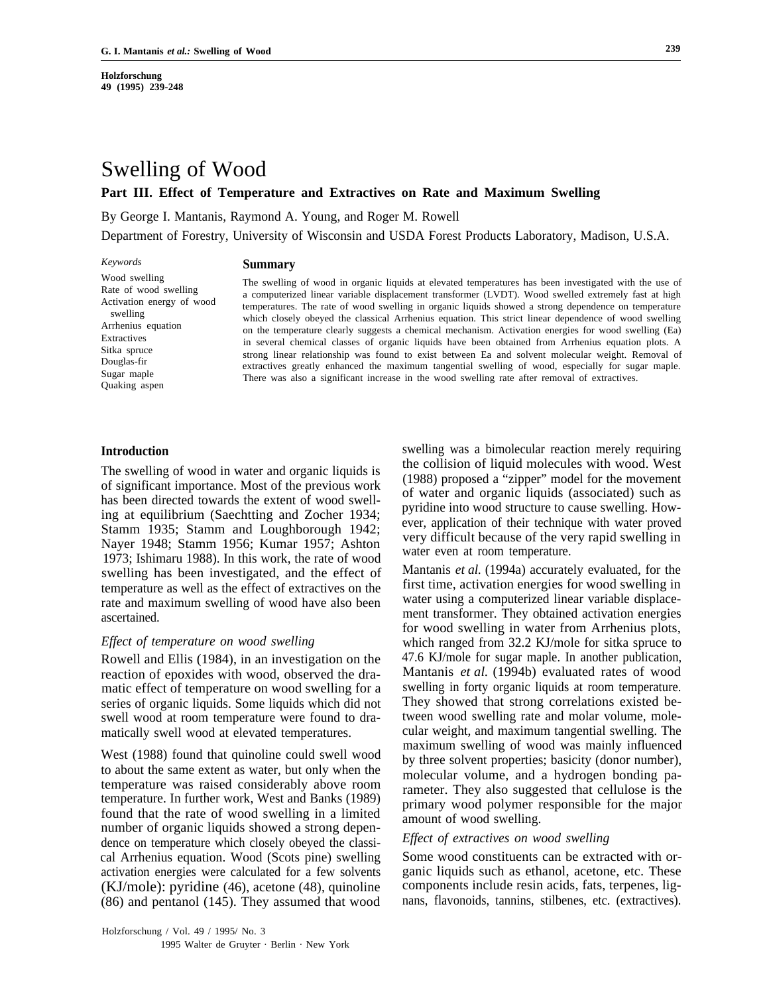**Holzforschung 49 (1995) 239-248**

# Swelling of Wood **Part III. Effect of Temperature and Extractives on Rate and Maximum Swelling**

By George I. Mantanis, Raymond A. Young, and Roger M. Rowell Department of Forestry, University of Wisconsin and USDA Forest Products Laboratory, Madison, U.S.A.

### *Keywords* **Summary**

Wood swelling Rate of wood swelling Activation energy of wood swelling Arrhenius equation Extractives Sitka spruce Douglas-fir Sugar maple Quaking aspen

The swelling of wood in organic liquids at elevated temperatures has been investigated with the use of a computerized linear variable displacement transformer (LVDT). Wood swelled extremely fast at high temperatures. The rate of wood swelling in organic liquids showed a strong dependence on temperature which closely obeyed the classical Arrhenius equation. This strict linear dependence of wood swelling on the temperature clearly suggests a chemical mechanism. Activation energies for wood swelling (Ea) in several chemical classes of organic liquids have been obtained from Arrhenius equation plots. A strong linear relationship was found to exist between Ea and solvent molecular weight. Removal of extractives greatly enhanced the maximum tangential swelling of wood, especially for sugar maple. There was also a significant increase in the wood swelling rate after removal of extractives.

### **Introduction**

The swelling of wood in water and organic liquids is of significant importance. Most of the previous work has been directed towards the extent of wood swelling at equilibrium (Saechtting and Zocher 1934; Stamm 1935; Stamm and Loughborough 1942; Nayer 1948; Stamm 1956; Kumar 1957; Ashton 1973; Ishimaru 1988). In this work, the rate of wood swelling has been investigated, and the effect of temperature as well as the effect of extractives on the rate and maximum swelling of wood have also been ascertained.

### *Effect of temperature on wood swelling*

Rowell and Ellis (1984), in an investigation on the reaction of epoxides with wood, observed the dramatic effect of temperature on wood swelling for a series of organic liquids. Some liquids which did not swell wood at room temperature were found to dramatically swell wood at elevated temperatures.

West (1988) found that quinoline could swell wood to about the same extent as water, but only when the temperature was raised considerably above room temperature. In further work, West and Banks (1989) found that the rate of wood swelling in a limited number of organic liquids showed a strong dependence on temperature which closely obeyed the classical Arrhenius equation. Wood (Scots pine) swelling activation energies were calculated for a few solvents (KJ/mole): pyridine (46), acetone (48), quinoline (86) and pentanol (145). They assumed that wood

swelling was a bimolecular reaction merely requiring the collision of liquid molecules with wood. West (1988) proposed a "zipper" model for the movement of water and organic liquids (associated) such as pyridine into wood structure to cause swelling. However, application of their technique with water proved very difficult because of the very rapid swelling in water even at room temperature.

Mantanis *et al.* (1994a) accurately evaluated, for the first time, activation energies for wood swelling in water using a computerized linear variable displacement transformer. They obtained activation energies for wood swelling in water from Arrhenius plots, which ranged from 32.2 KJ/mole for sitka spruce to 47.6 KJ/mole for sugar maple. In another publication, Mantanis *et al.* (1994b) evaluated rates of wood swelling in forty organic liquids at room temperature. They showed that strong correlations existed between wood swelling rate and molar volume, molecular weight, and maximum tangential swelling. The maximum swelling of wood was mainly influenced by three solvent properties; basicity (donor number), molecular volume, and a hydrogen bonding parameter. They also suggested that cellulose is the primary wood polymer responsible for the major amount of wood swelling.

### *Effect of extractives on wood swelling*

Some wood constituents can be extracted with organic liquids such as ethanol, acetone, etc. These components include resin acids, fats, terpenes, lignans, flavonoids, tannins, stilbenes, etc. (extractives).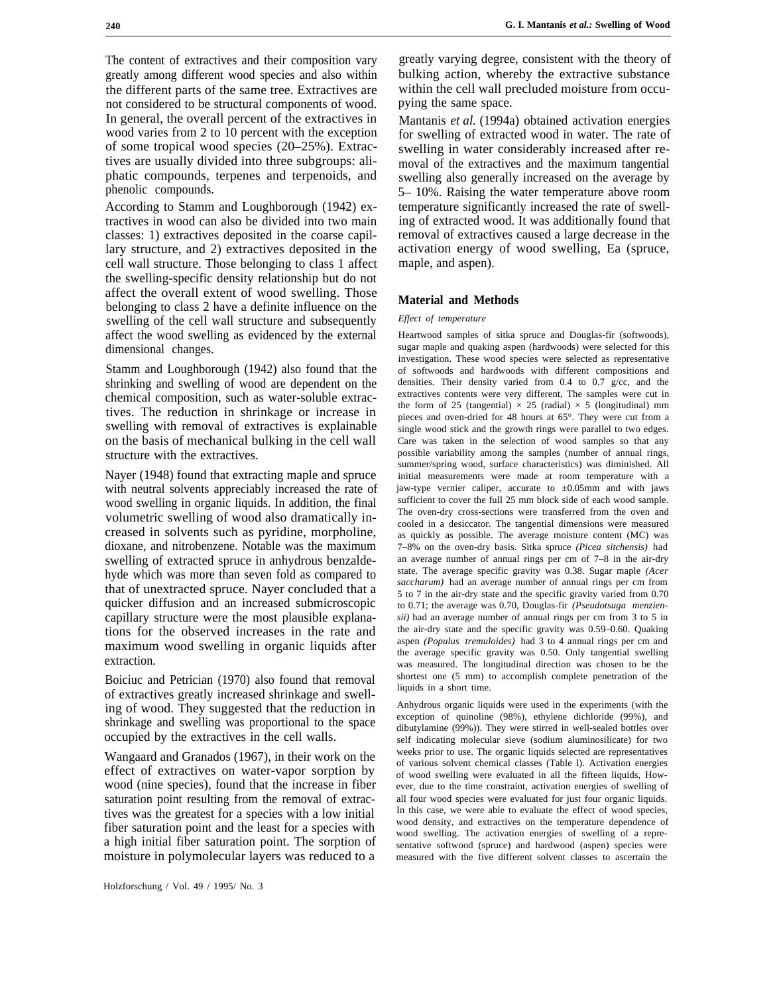The content of extractives and their composition vary greatly among different wood species and also within the different parts of the same tree. Extractives are not considered to be structural components of wood. In general, the overall percent of the extractives in wood varies from 2 to 10 percent with the exception of some tropical wood species (20–25%). Extractives are usually divided into three subgroups: aliphatic compounds, terpenes and terpenoids, and phenolic compounds.

According to Stamm and Loughborough (1942) extractives in wood can also be divided into two main classes: 1) extractives deposited in the coarse capillary structure, and 2) extractives deposited in the cell wall structure. Those belonging to class 1 affect the swelling-specific density relationship but do not affect the overall extent of wood swelling. Those belonging to class 2 have a definite influence on the swelling of the cell wall structure and subsequently affect the wood swelling as evidenced by the external dimensional changes.

Stamm and Loughborough (1942) also found that the shrinking and swelling of wood are dependent on the chemical composition, such as water-soluble extractives. The reduction in shrinkage or increase in swelling with removal of extractives is explainable on the basis of mechanical bulking in the cell wall structure with the extractives.

Nayer (1948) found that extracting maple and spruce with neutral solvents appreciably increased the rate of wood swelling in organic liquids. In addition, the final volumetric swelling of wood also dramatically increased in solvents such as pyridine, morpholine, dioxane, and nitrobenzene. Notable was the maximum swelling of extracted spruce in anhydrous benzaldehyde which was more than seven fold as compared to that of unextracted spruce. Nayer concluded that a quicker diffusion and an increased submicroscopic capillary structure were the most plausible explanations for the observed increases in the rate and maximum wood swelling in organic liquids after extraction.

Boiciuc and Petrician (1970) also found that removal of extractives greatly increased shrinkage and swelling of wood. They suggested that the reduction in shrinkage and swelling was proportional to the space occupied by the extractives in the cell walls.

Wangaard and Granados (1967), in their work on the effect of extractives on water-vapor sorption by wood (nine species), found that the increase in fiber saturation point resulting from the removal of extractives was the greatest for a species with a low initial fiber saturation point and the least for a species with a high initial fiber saturation point. The sorption of moisture in polymolecular layers was reduced to a

greatly varying degree, consistent with the theory of bulking action, whereby the extractive substance within the cell wall precluded moisture from occupying the same space.

Mantanis *et al.* (1994a) obtained activation energies for swelling of extracted wood in water. The rate of swelling in water considerably increased after removal of the extractives and the maximum tangential swelling also generally increased on the average by 5– 10%. Raising the water temperature above room temperature significantly increased the rate of swelling of extracted wood. It was additionally found that removal of extractives caused a large decrease in the activation energy of wood swelling, Ea (spruce, maple, and aspen).

## **Material and Methods**

### *Effect of temperature*

Heartwood samples of sitka spruce and Douglas-fir (softwoods), sugar maple and quaking aspen (hardwoods) were selected for this investigation. These wood species were selected as representative of softwoods and hardwoods with different compositions and densities. Their density varied from 0.4 to 0.7 g/cc, and the extractives contents were very different, The samples were cut in the form of 25 (tangential)  $\times$  25 (radial)  $\times$  5 (longitudinal) mm pieces and oven-dried for 48 hours at 65°. They were cut from a single wood stick and the growth rings were parallel to two edges. Care was taken in the selection of wood samples so that any possible variability among the samples (number of annual rings, summer/spring wood, surface characteristics) was diminished. All initial measurements were made at room temperature with a jaw-type vernier caliper, accurate to  $\pm 0.05$ mm and with jaws sufficient to cover the full 25 mm block side of each wood sample. The oven-dry cross-sections were transferred from the oven and cooled in a desiccator. The tangential dimensions were measured as quickly as possible. The average moisture content (MC) was 7–8% on the oven-dry basis. Sitka spruce *(Picea sitchensis)* had an average number of annual rings per cm of 7–8 in the air-dry state. The average specific gravity was 0.38. Sugar maple *(Acer saccharum)* had an average number of annual rings per cm from 5 to 7 in the air-dry state and the specific gravity varied from 0.70 to 0.71; the average was 0.70, Douglas-fir *(Pseudotsuga menziensii)* had an average number of annual rings per cm from 3 to 5 in the air-dry state and the specific gravity was 0.59–0.60. Quaking aspen *(Populus tremuloides)* had 3 to 4 annual rings per cm and the average specific gravity was 0.50. Only tangential swelling was measured. The longitudinal direction was chosen to be the shortest one (5 mm) to accomplish complete penetration of the liquids in a short time.

Anhydrous organic liquids were used in the experiments (with the exception of quinoline (98%), ethylene dichloride (99%), and dibutylamine (99%)). They were stirred in well-sealed bottles over self indicating molecular sieve (sodium aluminosilicate) for two weeks prior to use. The organic liquids selected are representatives of various solvent chemical classes (Table l). Activation energies of wood swelling were evaluated in all the fifteen liquids, However, due to the time constraint, activation energies of swelling of all four wood species were evaluated for just four organic liquids. In this case, we were able to evaluate the effect of wood species, wood density, and extractives on the temperature dependence of wood swelling. The activation energies of swelling of a representative softwood (spruce) and hardwood (aspen) species were measured with the five different solvent classes to ascertain the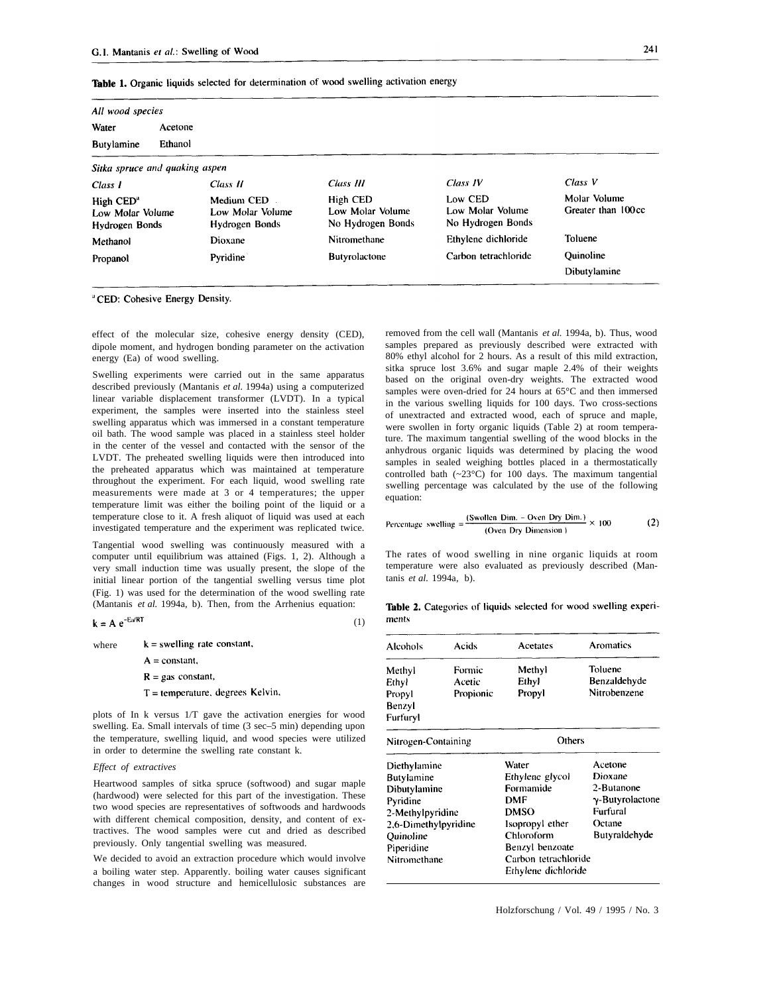Table 1. Organic liquids selected for determination of wood swelling activation energy

| All wood species                                            |         |                                                  |                                                          |                                                  |                                    |
|-------------------------------------------------------------|---------|--------------------------------------------------|----------------------------------------------------------|--------------------------------------------------|------------------------------------|
| Water                                                       | Acetone |                                                  |                                                          |                                                  |                                    |
| <b>Butylamine</b>                                           | Ethanol |                                                  |                                                          |                                                  |                                    |
| Sitka spruce and quaking aspen                              |         |                                                  |                                                          |                                                  |                                    |
| Class 1                                                     |         | Class II                                         | Class III                                                | Class IV                                         | Class V                            |
| High CED <sup>®</sup><br>Low Molar Volume<br>Hydrogen Bonds |         | Medium CED<br>Low Molar Volume<br>Hydrogen Bonds | <b>High CED</b><br>Low Molar Volume<br>No Hydrogen Bonds | Low CED<br>Low Molar Volume<br>No Hydrogen Bonds | Molar Volume<br>Greater than 100cc |
| Methanol                                                    |         | Dioxane                                          | Nitromethane                                             | Ethylene dichloride                              | <b>Toluene</b>                     |
| Propanol                                                    |         | Pyridine                                         | <b>Butyrolactone</b>                                     | Carbon tetrachloride                             | Ouinoline<br>Dibutylamine          |

<sup>a</sup> CED: Cohesive Energy Density.

effect of the molecular size, cohesive energy density (CED), dipole moment, and hydrogen bonding parameter on the activation energy (Ea) of wood swelling.

Swelling experiments were carried out in the same apparatus described previously (Mantanis *et al.* 1994a) using a computerized linear variable displacement transformer (LVDT). In a typical experiment, the samples were inserted into the stainless steel swelling apparatus which was immersed in a constant temperature oil bath. The wood sample was placed in a stainless steel holder in the center of the vessel and contacted with the sensor of the LVDT. The preheated swelling liquids were then introduced into the preheated apparatus which was maintained at temperature throughout the experiment. For each liquid, wood swelling rate measurements were made at 3 or 4 temperatures; the upper temperature limit was either the boiling point of the liquid or a temperature close to it. A fresh aliquot of liquid was used at each investigated temperature and the experiment was replicated twice.

Tangential wood swelling was continuously measured with a computer until equilibrium was attained (Figs. 1, 2). Although a very small induction time was usually present, the slope of the initial linear portion of the tangential swelling versus time plot (Fig. 1) was used for the determination of the wood swelling rate (Mantanis *et al.* 1994a, b). Then, from the Arrhenius equation:

$$
\mathbf{k} = \mathbf{A} \, \mathbf{e}^{-\mathbf{E} \mathbf{u}/\mathbf{R} \mathbf{T}} \tag{1}
$$

 $k =$  swelling rate constant, where

 $A = constant$ .

 $R = gas constant,$ 

 $T =$  temperature, degrees Kelvin,

plots of In k versus 1/T gave the activation energies for wood swelling. Ea. Small intervals of time (3 sec–5 min) depending upon the temperature, swelling liquid, and wood species were utilized in order to determine the swelling rate constant k.

#### *Effect of extractives*

Heartwood samples of sitka spruce (softwood) and sugar maple (hardwood) were selected for this part of the investigation. These two wood species are representatives of softwoods and hardwoods with different chemical composition, density, and content of extractives. The wood samples were cut and dried as described previously. Only tangential swelling was measured.

We decided to avoid an extraction procedure which would involve a boiling water step. Apparently. boiling water causes significant changes in wood structure and hemicellulosic substances are removed from the cell wall (Mantanis *et al.* 1994a, b). Thus, wood samples prepared as previously described were extracted with 80% ethyl alcohol for 2 hours. As a result of this mild extraction, sitka spruce lost 3.6% and sugar maple 2.4% of their weights based on the original oven-dry weights. The extracted wood samples were oven-dried for 24 hours at 65°C and then immersed in the various swelling liquids for 100 days. Two cross-sections of unextracted and extracted wood, each of spruce and maple, were swollen in forty organic liquids (Table 2) at room temperature. The maximum tangential swelling of the wood blocks in the anhydrous organic liquids was determined by placing the wood samples in sealed weighing bottles placed in a thermostatically controlled bath  $(-23^{\circ}$ C) for 100 days. The maximum tangential swelling percentage was calculated by the use of the following equation:

Percentage switching = 
$$
\frac{\text{(Swollen Dim. - Over Dry Dim.)}}{\text{(Over Dy Dimension)}} \times 100
$$
 (2)

The rates of wood swelling in nine organic liquids at room temperature were also evaluated as previously described (Mantanis *et al.* 1994a, b).

Table 2. Categories of liquids selected for wood swelling experiments

| Alcohols             | Acids     | Acetates             | <b>Aromatics</b>        |  |  |
|----------------------|-----------|----------------------|-------------------------|--|--|
| Methyl               | Formic    | Methyl               | Toluene                 |  |  |
| Ethyl                | Acetic    | Ethyl                | Benzaldehyde            |  |  |
| Propyl               | Propionic | Propyl               | Nitrobenzene            |  |  |
| Benzyl               |           |                      |                         |  |  |
| Furfuryl             |           |                      |                         |  |  |
| Nitrogen-Containing  |           | Others               |                         |  |  |
| Diethylamine         |           | Water                | Acetone                 |  |  |
| Butylamine           |           | Ethylene glycol      | Dioxane                 |  |  |
| Dibutylamine         |           | Formamide            | 2-Butanone              |  |  |
| Pyridine             |           | DMF                  | $\gamma$ -Butyrolactone |  |  |
| 2-Methylpyridine     |           | DMSO                 | Furfural                |  |  |
| 2.6-Dimethylpyridine |           | Isopropyl ether      | Octane                  |  |  |
| Quinoline            |           | Chloroform           | Butyraldehyde           |  |  |
| Piperidine           |           | Benzyl benzoate      |                         |  |  |
| Nitromethane         |           | Carbon tetrachloride |                         |  |  |
|                      |           | Ethylene dichloride  |                         |  |  |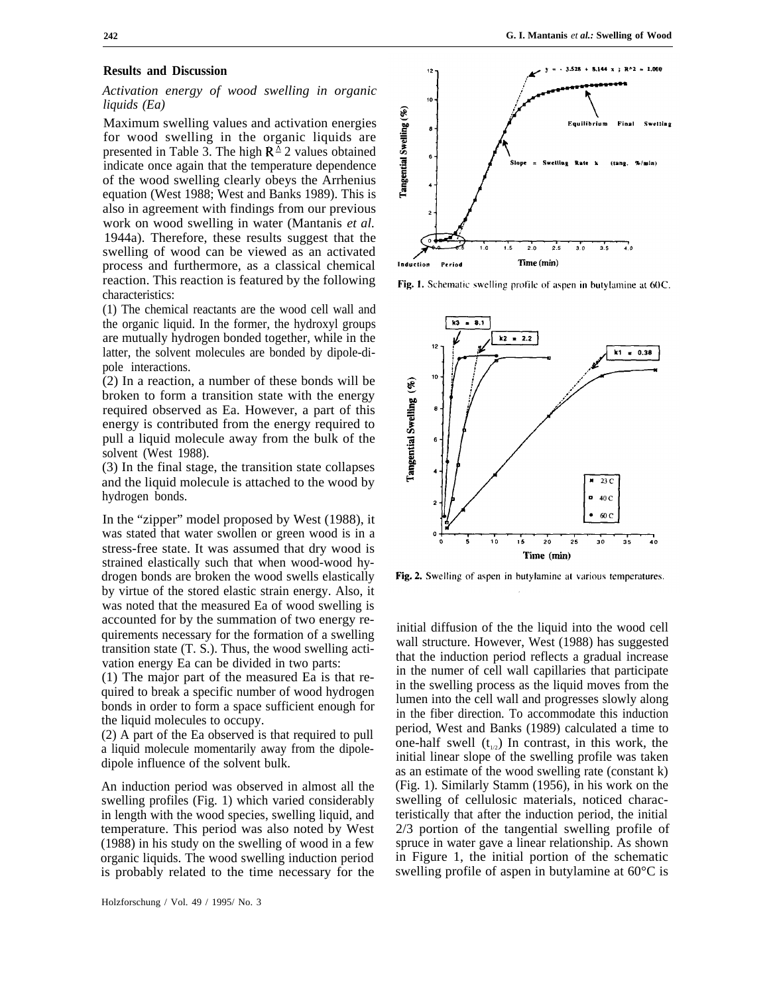### **Results and Discussion**

### *Activation energy of wood swelling in organic liquids (Ea)*

Maximum swelling values and activation energies for wood swelling in the organic liquids are presented in Table 3. The high  $R^{\Delta}$  2 values obtained indicate once again that the temperature dependence of the wood swelling clearly obeys the Arrhenius equation (West 1988; West and Banks 1989). This is also in agreement with findings from our previous work on wood swelling in water (Mantanis *et al.* 1944a). Therefore, these results suggest that the swelling of wood can be viewed as an activated process and furthermore, as a classical chemical reaction. This reaction is featured by the following characteristics:

(1) The chemical reactants are the wood cell wall and the organic liquid. In the former, the hydroxyl groups are mutually hydrogen bonded together, while in the latter, the solvent molecules are bonded by dipole-dipole interactions.

(2) In a reaction, a number of these bonds will be broken to form a transition state with the energy required observed as Ea. However, a part of this energy is contributed from the energy required to pull a liquid molecule away from the bulk of the solvent (West 1988).

(3) In the final stage, the transition state collapses and the liquid molecule is attached to the wood by hydrogen bonds.

In the "zipper" model proposed by West (1988), it was stated that water swollen or green wood is in a stress-free state. It was assumed that dry wood is strained elastically such that when wood-wood hydrogen bonds are broken the wood swells elastically by virtue of the stored elastic strain energy. Also, it was noted that the measured Ea of wood swelling is accounted for by the summation of two energy requirements necessary for the formation of a swelling transition state (T. S.). Thus, the wood swelling activation energy Ea can be divided in two parts:

(1) The major part of the measured Ea is that required to break a specific number of wood hydrogen bonds in order to form a space sufficient enough for the liquid molecules to occupy.

(2) A part of the Ea observed is that required to pull a liquid molecule momentarily away from the dipoledipole influence of the solvent bulk.

An induction period was observed in almost all the swelling profiles (Fig. 1) which varied considerably in length with the wood species, swelling liquid, and temperature. This period was also noted by West (1988) in his study on the swelling of wood in a few organic liquids. The wood swelling induction period is probably related to the time necessary for the



Fig. 1. Schematic swelling profile of aspen in butylamine at 60C.



Fig. 2. Swelling of aspen in butylamine at various temperatures.

initial diffusion of the the liquid into the wood cell wall structure. However, West (1988) has suggested that the induction period reflects a gradual increase in the numer of cell wall capillaries that participate in the swelling process as the liquid moves from the lumen into the cell wall and progresses slowly along in the fiber direction. To accommodate this induction period, West and Banks (1989) calculated a time to one-half swell  $(t_{1/2})$  In contrast, in this work, the initial linear slope of the swelling profile was taken as an estimate of the wood swelling rate (constant k) (Fig. 1). Similarly Stamm (1956), in his work on the swelling of cellulosic materials, noticed characteristically that after the induction period, the initial 2/3 portion of the tangential swelling profile of spruce in water gave a linear relationship. As shown in Figure 1, the initial portion of the schematic swelling profile of aspen in butylamine at 60°C is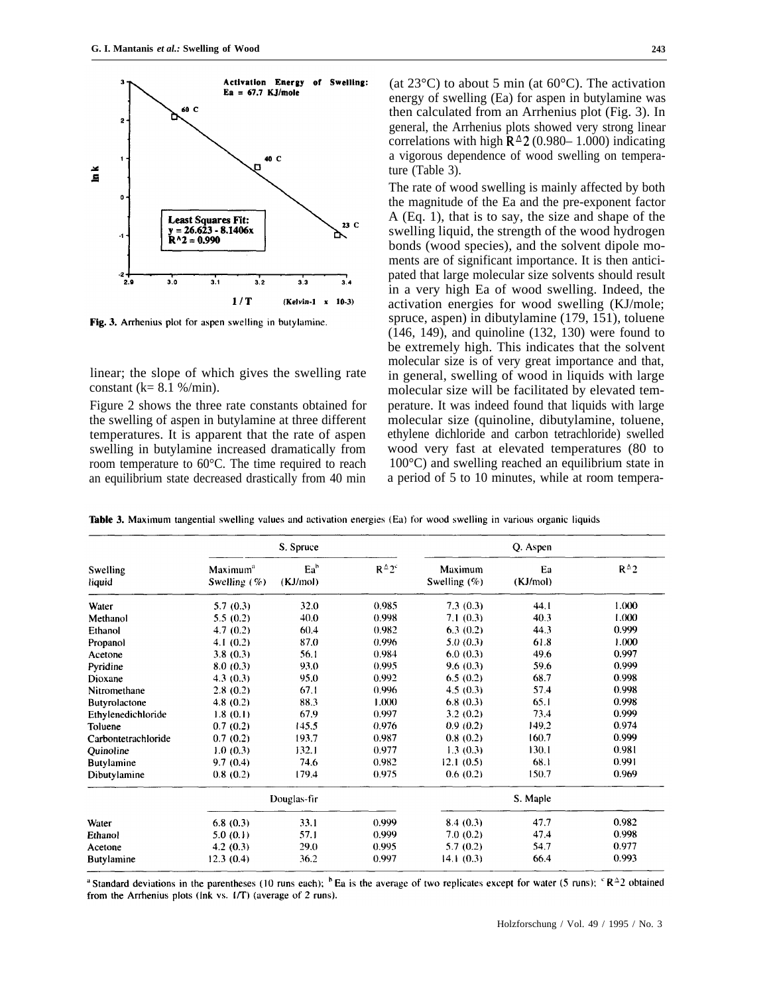

Fig. 3. Arrhenius plot for aspen swelling in butylamine.

linear; the slope of which gives the swelling rate constant ( $k= 8.1 %$ /min).

Figure 2 shows the three rate constants obtained for the swelling of aspen in butylamine at three different temperatures. It is apparent that the rate of aspen swelling in butylamine increased dramatically from room temperature to 60°C. The time required to reach an equilibrium state decreased drastically from 40 min

(at  $23^{\circ}$ C) to about 5 min (at  $60^{\circ}$ C). The activation energy of swelling (Ea) for aspen in butylamine was then calculated from an Arrhenius plot (Fig. 3). In general, the Arrhenius plots showed very strong linear correlations with high  $\mathbb{R}^{\Delta}$  2 (0.980– 1.000) indicating a vigorous dependence of wood swelling on temperature (Table 3).

The rate of wood swelling is mainly affected by both the magnitude of the Ea and the pre-exponent factor A (Eq. 1), that is to say, the size and shape of the swelling liquid, the strength of the wood hydrogen bonds (wood species), and the solvent dipole moments are of significant importance. It is then anticipated that large molecular size solvents should result in a very high Ea of wood swelling. Indeed, the activation energies for wood swelling (KJ/mole; spruce, aspen) in dibutylamine (179, 151), toluene (146, 149), and quinoline (132, 130) were found to be extremely high. This indicates that the solvent molecular size is of very great importance and that, in general, swelling of wood in liquids with large molecular size will be facilitated by elevated temperature. It was indeed found that liquids with large molecular size (quinoline, dibutylamine, toluene, ethylene dichloride and carbon tetrachloride) swelled wood very fast at elevated temperatures (80 to 100°C) and swelling reached an equilibrium state in a period of 5 to 10 minutes, while at room tempera-

Table 3. Maximum tangential swelling values and activation energies (Ea) for wood swelling in various organic liquids

|                     |                                         | S. Spruce          |                   |                            | Q. Aspen       |               |
|---------------------|-----------------------------------------|--------------------|-------------------|----------------------------|----------------|---------------|
| Swelling<br>liquid  | Maximum <sup>a</sup><br>Swelling $(\%)$ | $Ea^b$<br>(KJ/mol) | $R^{\Delta}2^{c}$ | Maximum<br>Swelling $(\%)$ | Ea<br>(KJ/mol) | $R^{\Delta}2$ |
| Water               | 5.7(0.3)                                | 32.0               | 0.985             | 7.3(0.3)                   | 44.1           | 1.000         |
| Methanol            | 5.5(0.2)                                | 40.0               | 0.998             | 7.1(0.3)                   | 40.3           | 1.000         |
| Ethanol             | 4.7(0.2)                                | 60.4               | 0.982             | 6.3(0.2)                   | 44.3           | 0.999         |
| Propanol            | 4.1 $(0.2)$                             | 87.0               | 0.996             | 5.0(0.3)                   | 61.8           | 1.000         |
| Acetone             | 3.8(0.3)                                | 56.1               | 0.984             | 6.0(0.3)                   | 49.6           | 0.997         |
| Pyridine            | 8.0(0.3)                                | 93.0               | 0.995             | 9.6(0.3)                   | 59.6           | 0.999         |
| Dioxane             | 4.3(0.3)                                | 95.0               | 0.992             | 6.5(0.2)                   | 68.7           | 0.998         |
| Nitromethane        | 2.8(0.2)                                | 67.1               | 0.996             | 4.5(0.3)                   | 57.4           | 0.998         |
| Butyrolactone       | 4.8 $(0.2)$                             | 88.3               | 1.000             | 6.8(0.3)                   | 65.I           | 0.998         |
| Ethylenedichloride  | 1.8(0.1)                                | 67.9               | 0.997             | 3.2(0.2)                   | 73.4           | 0.999         |
| Toluene             | 0.7(0.2)                                | 145.5              | 0.976             | 0.9(0.2)                   | 149.2          | 0.974         |
| Carbontetrachloride | 0.7(0.2)                                | 193.7              | 0.987             | 0.8(0.2)                   | 160.7          | 0.999         |
| Quinoline           | 1.0(0.3)                                | 132.1              | 0.977             | 1.3(0.3)                   | 130.1          | 0.981         |
| <b>Butylamine</b>   | 9.7(0.4)                                | 74.6               | 0.982             | 12.1(0.5)                  | 68.1           | 0.991         |
| Dibutylamine        | 0.8(0.2)                                | 179.4              | 0.975             | 0.6(0.2)                   | 150.7          | 0.969         |
|                     |                                         | Douglas-fir        |                   |                            | S. Maple       |               |
| Water               | 6.8(0.3)                                | 33.1               | 0.999             | 8.4(0.3)                   | 47.7           | 0.982         |
| Ethanol             | 5.0(0.1)                                | 57.1               | 0.999             | 7.0(0.2)                   | 47.4           | 0.998         |
| Acetone             | 4.2(0.3)                                | 29.0               | 0.995             | 5.7(0.2)                   | 54.7           | 0.977         |
| Butylamine          | 12.3(0.4)                               | 36.2               | 0.997             | 14.1(0.3)                  | 66.4           | 0.993         |

<sup>a</sup> Standard deviations in the parentheses (10 runs each); <sup>h</sup>Ea is the average of two replicates except for water (5 runs):  $R^2$  obtained from the Arrhenius plots (lnk vs. 1/T) (average of 2 runs).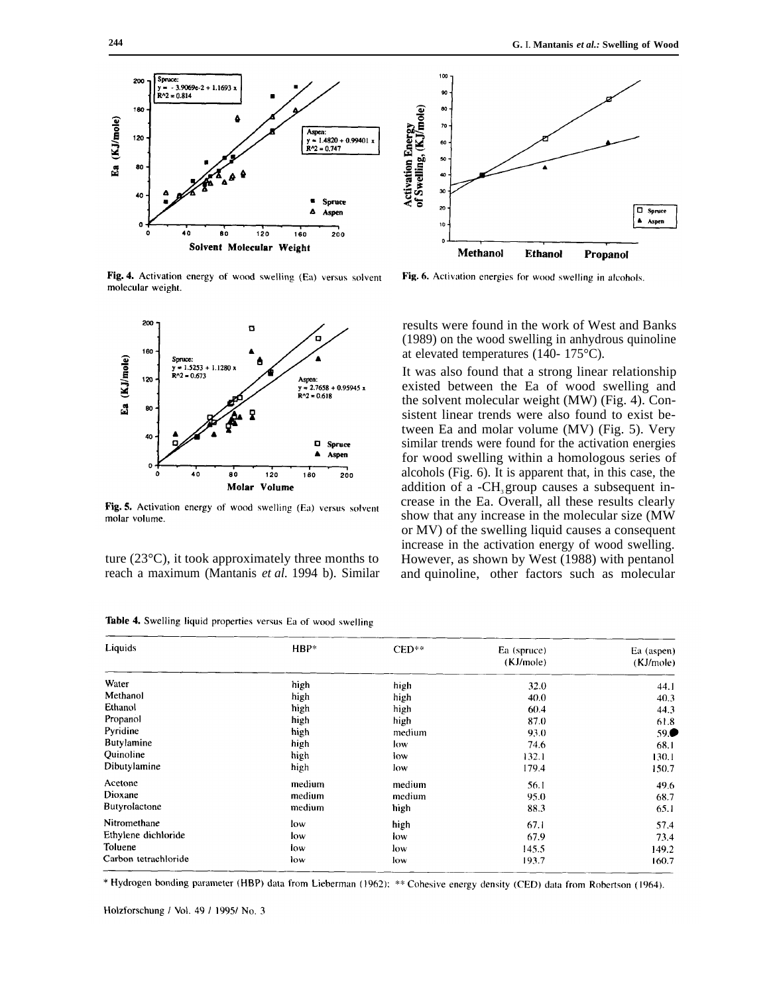

Fig. 4. Activation energy of wood swelling (Ea) versus solvent molecular weight.



Fig. 5. Activation energy of wood swelling (Ea) versus solvent molar volume.

ture (23°C), it took approximately three months to reach a maximum (Mantanis *et al.* 1994 b). Similar

Fig. 6. Activation energies for wood swelling in alcohols.

results were found in the work of West and Banks (1989) on the wood swelling in anhydrous quinoline at elevated temperatures (140- 175 $^{\circ}$ C).

It was also found that a strong linear relationship existed between the Ea of wood swelling and the solvent molecular weight (MW) (Fig. 4). Consistent linear trends were also found to exist between Ea and molar volume (MV) (Fig. 5). Very similar trends were found for the activation energies for wood swelling within a homologous series of alcohols (Fig. 6). It is apparent that, in this case, the addition of a -CH, group causes a subsequent increase in the Ea. Overall, all these results clearly show that any increase in the molecular size (MW or MV) of the swelling liquid causes a consequent increase in the activation energy of wood swelling. However, as shown by West (1988) with pentanol and quinoline, other factors such as molecular

| Liquids              | $HBP*$ | $\text{CED}^{**}$ | Ea (spruce)<br>(KJ/mole) | Ea (aspen)<br>(KJ/mole) |
|----------------------|--------|-------------------|--------------------------|-------------------------|
| Water                | high   | high              | 32.0                     | 44.1                    |
| Methanol             | high   | high              | 40.0                     | 40.3                    |
| Ethanol              | high   | high              | 60.4                     | 44.3                    |
| Propanol             | high   | high              | 87.0                     | 61.8                    |
| Pyridine             | high   | medium            | 93.0                     | 59.                     |
| Butylamine           | high   | low               | 74.6                     | 68.1                    |
| Quinoline            | high   | low               | 132.1                    | 130.1                   |
| Dibutylamine         | high   | low               | 179.4                    | 150.7                   |
| Acetone              | medium | medium            | 56.1                     | 49.6                    |
| Dioxane              | medium | medium            | 95.0                     | 68.7                    |
| Butyrolactone        | medium | high              | 88.3                     | 65.1                    |
| Nitromethane         | low    | high              | 67.1                     | 57.4                    |
| Ethylene dichloride  | low    | low               | 67.9                     | 73.4                    |
| Toluene              | low    | low               | 145.5                    | 149.2                   |
| Carbon tetrachloride | low    | low               | 193.7                    | 160.7                   |

Table 4. Swelling liquid properties versus Ea of wood swelling

\* Hydrogen bonding parameter (HBP) data from Lieberman (1962); \*\* Cohesive energy density (CED) data from Robertson (1964).

Holzforschung / Vol. 49 / 1995/ No. 3



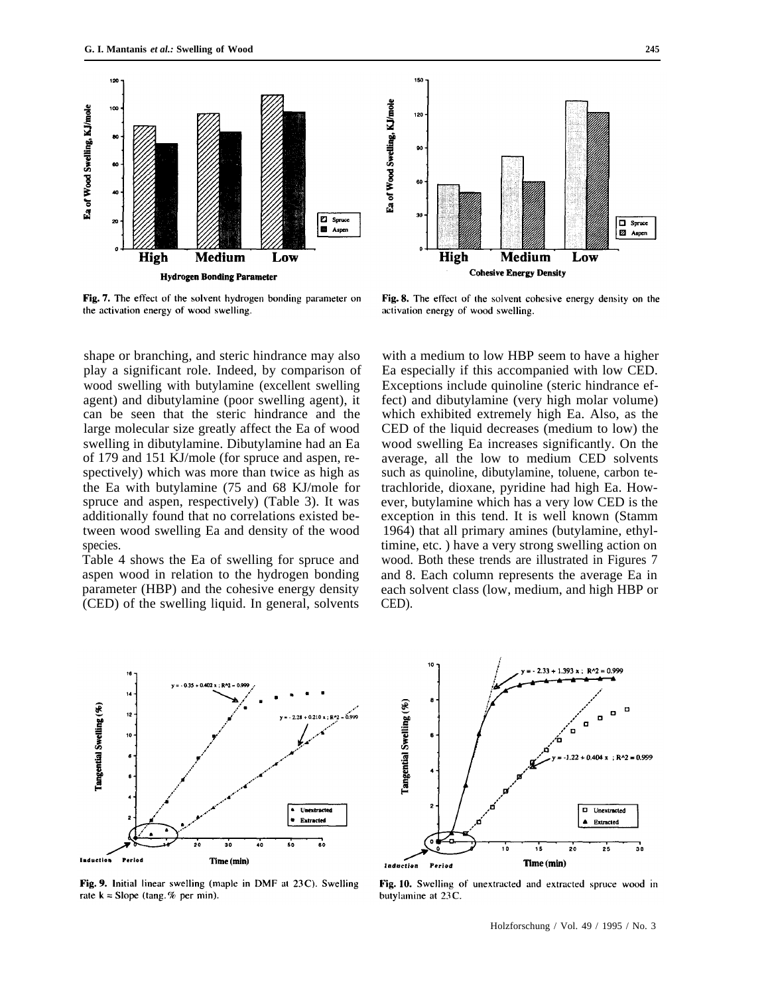



Fig. 7. The effect of the solvent hydrogen bonding parameter on the activation energy of wood swelling.

shape or branching, and steric hindrance may also play a significant role. Indeed, by comparison of wood swelling with butylamine (excellent swelling agent) and dibutylamine (poor swelling agent), it can be seen that the steric hindrance and the large molecular size greatly affect the Ea of wood swelling in dibutylamine. Dibutylamine had an Ea of 179 and 151 KJ/mole (for spruce and aspen, respectively) which was more than twice as high as the Ea with butylamine (75 and 68 KJ/mole for spruce and aspen, respectively) (Table 3). It was additionally found that no correlations existed between wood swelling Ea and density of the wood species.

Table 4 shows the Ea of swelling for spruce and aspen wood in relation to the hydrogen bonding parameter (HBP) and the cohesive energy density (CED) of the swelling liquid. In general, solvents

Fig. 8. The effect of the solvent cohesive energy density on the activation energy of wood swelling.

with a medium to low HBP seem to have a higher Ea especially if this accompanied with low CED. Exceptions include quinoline (steric hindrance effect) and dibutylamine (very high molar volume) which exhibited extremely high Ea. Also, as the CED of the liquid decreases (medium to low) the wood swelling Ea increases significantly. On the average, all the low to medium CED solvents such as quinoline, dibutylamine, toluene, carbon tetrachloride, dioxane, pyridine had high Ea. However, butylamine which has a very low CED is the exception in this tend. It is well known (Stamm 1964) that all primary amines (butylamine, ethyltimine, etc. ) have a very strong swelling action on wood. Both these trends are illustrated in Figures 7 and 8. Each column represents the average Ea in each solvent class (low, medium, and high HBP or CED).



Fig. 9. Initial linear swelling (maple in DMF at 23C). Swelling rate  $k =$  Slope (tang. % per min).



Fig. 10. Swelling of unextracted and extracted spruce wood in butylamine at 23C.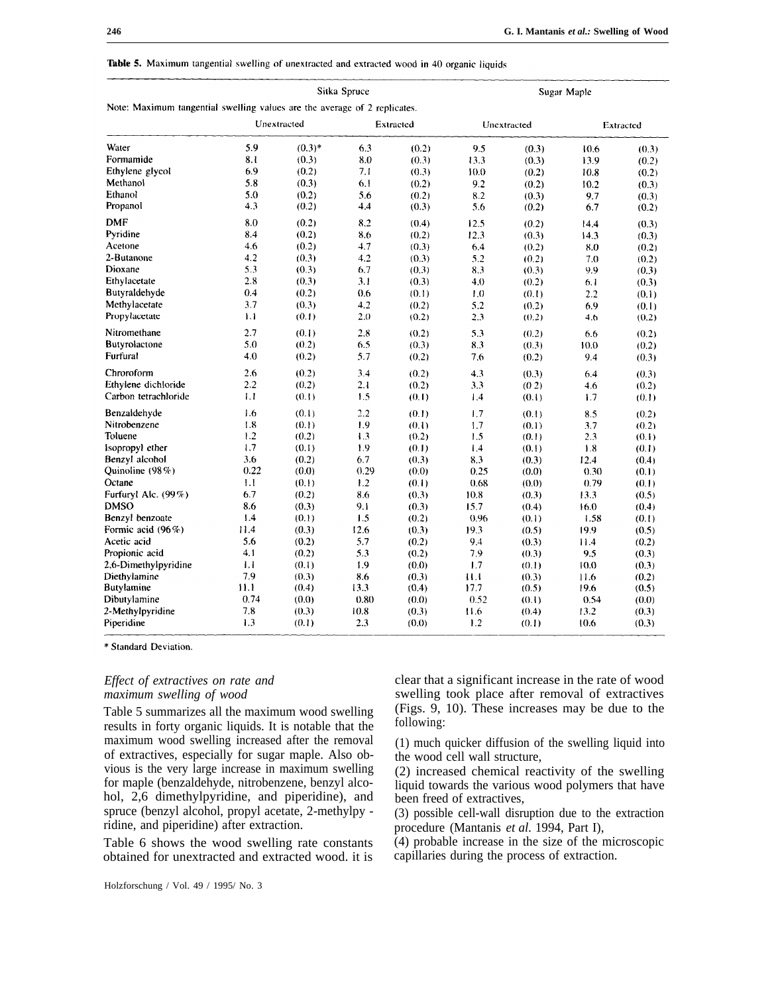|                                                                           |      |             | Sitka Spruce |           |      |             | Sugar Maple |           |
|---------------------------------------------------------------------------|------|-------------|--------------|-----------|------|-------------|-------------|-----------|
| Note: Maximum tangential swelling values are the average of 2 replicates. |      |             |              |           |      |             |             |           |
|                                                                           |      | Unextracted |              | Extracted |      | Unextracted |             | Extracted |
| Water                                                                     | 5.9  | $(0.3)*$    | 6.3          | (0.2)     | 9.5  | (0.3)       | 10.6        | (0.3)     |
| Formamide                                                                 | 8.1  | (0.3)       | 8.0          | (0.3)     | 13.3 | (0.3)       | 13.9        | (0.2)     |
| Ethylene glycol                                                           | 6.9  | (0.2)       | 7.1          | (0.3)     | 10.0 | (0.2)       | 10.8        | (0.2)     |
| Methanol                                                                  | 5.8  | (0.3)       | 6.1          | (0.2)     | 9.2  | (0.2)       | 10.2        | (0.3)     |
| Ethanol                                                                   | 5.0  | (0.2)       | 5.6          | (0.2)     | 8.2  | (0.3)       | 9.7         | (0.3)     |
| Propanol                                                                  | 4.3  | (0.2)       | 4.4          | (0.3)     | 5.6  | (0.2)       | 6.7         | (0.2)     |
| <b>DMF</b>                                                                | 8.0  | (0.2)       | 8.2          | (0.4)     | 12.5 | (0.2)       | 14.4        | (0.3)     |
| Pyridine                                                                  | 8.4  | (0.2)       | 8.6          | (0.2)     | 12.3 | (0.3)       | 14.3        | (0.3)     |
| Acetone                                                                   | 4.6  | (0.2)       | 4.7          | (0.3)     | 6.4  | (0.2)       | 8.0         | (0.2)     |
| 2-Butanone                                                                | 4.2  | (0.3)       | 4.2          | (0.3)     | 5.2  | (0.2)       | 7.0         | (0.2)     |
| Dioxane                                                                   | 5.3  | (0.3)       | 6.7          | (0.3)     | 8.3  | (0.3)       | 9.9         | (0.3)     |
| Ethylacetate                                                              | 2.8  | (0.3)       | 3.1          | (0.3)     | 4.0  | (0.2)       | 6.1         | (0.3)     |
| Butyraldehyde                                                             | 0.4  | (0.2)       | 0.6          | (0,1)     | 1.0  | (0.1)       | 2.2         | (0.1)     |
| Methylacetate                                                             | 3.7  | (0.3)       | 4.2          | (0.2)     | 5.2  | (0.2)       | 6.9         | (0.1)     |
| Propylacetate                                                             | 1.1  | (0.1)       | 2.0          | (0.2)     | 2.3  | (0.2)       | 4.6         | (0.2)     |
| Nitromethane                                                              | 2.7  | (0.1)       | 2.8          | (0.2)     | 5.3  | (0.2)       | 6.6         | (0.2)     |
| Butyrolactone                                                             | 5.0  | (0.2)       | 6.5          | (0.3)     | 8.3  | (0.3)       | 100         | (0.2)     |
| Furfural                                                                  | 4.0  | (0.2)       | 5.7          | (0.2)     | 7.6  | (0.2)       | 9.4         | (0.3)     |
| Chroroform                                                                | 2.6  | (0.2)       | 3.4          | (0.2)     | 4.3  | (0.3)       | 6.4         | (0.3)     |
| Ethylene dichloride                                                       | 2.2  | (0.2)       | 2.1          | (0.2)     | 3.3  | (02)        | 4.6         | (0.2)     |
| Carbon tetrachloride                                                      | 1.1  | (0.1)       | 1.5          | (0.1)     | 1.4  | (0.1)       | 1.7         | (0.1)     |
| Benzaldehyde                                                              | 1.6  | (0.1)       | 2.2          | (0.1)     | 1.7  | (0.1)       | 8.5         | (0.2)     |
| Nitrobenzene                                                              | 1.8  | (0.1)       | 1.9          | (0,1)     | 1.7  | (0.1)       | 3.7         | (0.2)     |
| Toluene                                                                   | 1.2  | (0.2)       | 1.3          | (0.2)     | 1.5  | (0.1)       | 2.3         | (0.1)     |
| Isopropyl ether                                                           | 1.7  | (0.1)       | 1.9          | (0.1)     | 1.4  | (0.1)       | 1.8         | (0.1)     |
| Benzyl alcohol                                                            | 3.6  | (0.2)       | 6.7          | (0.3)     | 8.3  | (0.3)       | 12.4        | (0.4)     |
| Quinoline $(98\%)$                                                        | 0.22 | (0.0)       | 0.29         | (0.0)     | 0.25 | (0.0)       | 0.30        | (0.1)     |
| Octane                                                                    | 1.1  | (0.1)       | 1.2          | (0.1)     | 0.68 | (0.0)       | 0.79        | (0.1)     |
| Furfuryl Alc. (99%)                                                       | 6.7  | (0.2)       | 8.6          | (0.3)     | 10.8 | (0.3)       | 13.3        | (0.5)     |
| <b>DMSO</b>                                                               | 8.6  | (0.3)       | 9.1          | (0.3)     | 15.7 | (0.4)       | 16.0        | (0.4)     |
| Benzyl benzoate                                                           | 1.4  | (0.1)       | 1.5          | (0.2)     | 0.96 | (0.1)       | 1.58        | (0,1)     |
| Formic acid (96%)                                                         | 11.4 | (0.3)       | 12.6         | (0.3)     | 19.3 | (0.5)       | 19.9        | (0.5)     |
| Acetic acid                                                               | 5.6  | (0.2)       | 5.7          | (0.2)     | 9,4  | (0.3)       | 11.4        | (0.2)     |
| Propionic acid                                                            | 4.1  | (0.2)       | 53           | (0.2)     | 7.9  | (0.3)       | 9.5         | (0.3)     |
| 2,6-Dimethylpyridine                                                      | 1.1  | (0.1)       | 1.9          | (0.0)     | 1.7  | (0.1)       | 10.0        | (0.3)     |
| Diethylamine                                                              | 7.9  | (0.3)       | 8.6          | (0.3)     | 11.1 | (0.3)       | 11.6        | (0.2)     |
| Butylamine                                                                | 11.1 | (0.4)       | 13.3         | (0.4)     | 17.7 | (0.5)       | 19.6        | (0.5)     |
| Dibutylamine                                                              | 0.74 | (0.0)       | 0.80         | (0.0)     | 0.52 | (0.1)       | 0.54        | (0.0)     |
| 2-Methylpyridine                                                          | 7.8  | (0.3)       | 10.8         | (0.3)     | 11.6 | (0.4)       | 13.2        | (0.3)     |
| Piperidine                                                                | 1.3  | (0.1)       | 2.3          | (0.0)     | 1.2  | (0.1)       | 10.6        | (0.3)     |

Table 5. Maximum tangential swelling of unextracted and extracted wood in 40 organic liquids

\* Standard Deviation.

### *Effect of extractives on rate and maximum swelling of wood*

Table 5 summarizes all the maximum wood swelling results in forty organic liquids. It is notable that the maximum wood swelling increased after the removal of extractives, especially for sugar maple. Also obvious is the very large increase in maximum swelling for maple (benzaldehyde, nitrobenzene, benzyl alcohol, 2,6 dimethylpyridine, and piperidine), and spruce (benzyl alcohol, propyl acetate, 2-methylpy ridine, and piperidine) after extraction.

Table 6 shows the wood swelling rate constants obtained for unextracted and extracted wood. it is clear that a significant increase in the rate of wood swelling took place after removal of extractives (Figs. 9, 10). These increases may be due to the following:

(1) much quicker diffusion of the swelling liquid into the wood cell wall structure,

(2) increased chemical reactivity of the swelling liquid towards the various wood polymers that have been freed of extractives,

(3) possible cell-wall disruption due to the extraction procedure (Mantanis *et al.* 1994, Part I),

(4) probable increase in the size of the microscopic capillaries during the process of extraction.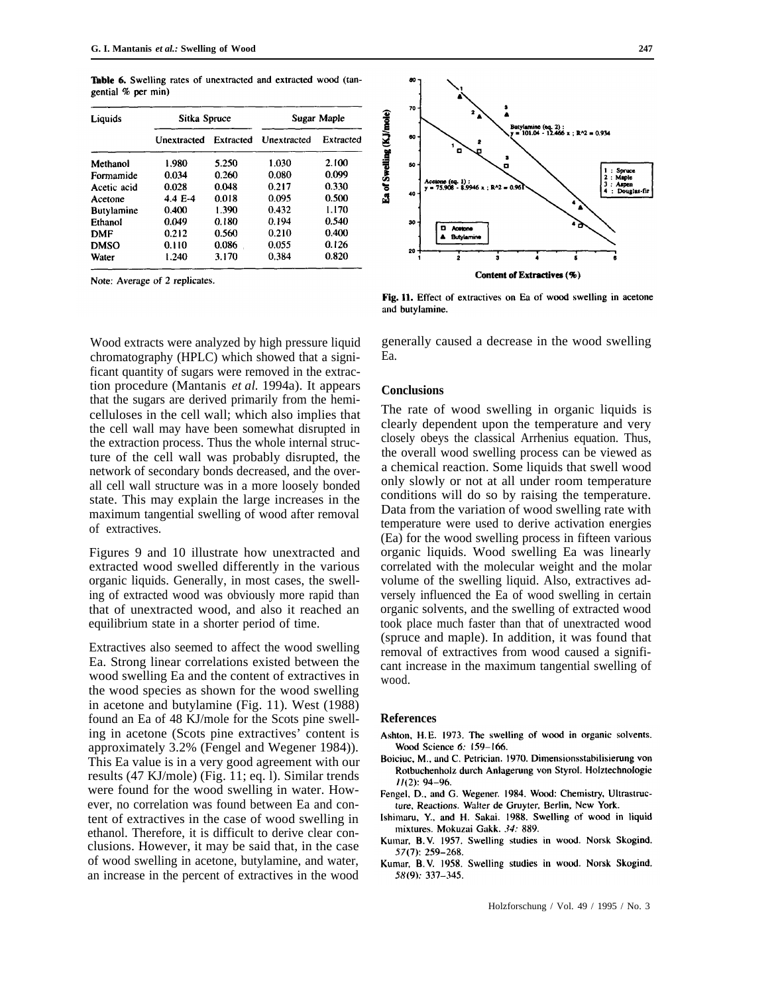Table 6. Swelling rates of unextracted and extracted wood (tangential % per min)

| Liquids           | Sitka Spruce |           | Sugar Maple        |           |  |
|-------------------|--------------|-----------|--------------------|-----------|--|
|                   | Unextracted  | Extracted | <b>Unextracted</b> | Extracted |  |
| Methanol          | 1.980        | 5.250     | 1.030              | 2.100     |  |
| Formamide         | 0.034        | 0.260     | 0.080              | 0.099     |  |
| Acetic acid       | 0.028        | 0.048     | 0.217              | 0.330     |  |
| Acetone           | 4.4 E-4      | 0.018     | 0.095              | 0.500     |  |
| <b>Butylamine</b> | 0.400        | 1.390     | 0.432              | 1.170     |  |
| Ethanol           | 0.049        | 0.180     | 0.194              | 0.540     |  |
| DMF               | 0.212        | 0.560     | 0.210              | 0.400     |  |
| <b>DMSO</b>       | 0.110        | 0.086     | 0.055              | 0.126     |  |
| Water             | 1.240        | 3.170     | 0.384              | 0.820     |  |

Note: Average of 2 replicates.

Wood extracts were analyzed by high pressure liquid chromatography (HPLC) which showed that a significant quantity of sugars were removed in the extraction procedure (Mantanis *et al.* 1994a). It appears that the sugars are derived primarily from the hemicelluloses in the cell wall; which also implies that the cell wall may have been somewhat disrupted in the extraction process. Thus the whole internal structure of the cell wall was probably disrupted, the network of secondary bonds decreased, and the overall cell wall structure was in a more loosely bonded state. This may explain the large increases in the maximum tangential swelling of wood after removal of extractives.

Figures 9 and 10 illustrate how unextracted and extracted wood swelled differently in the various organic liquids. Generally, in most cases, the swelling of extracted wood was obviously more rapid than that of unextracted wood, and also it reached an equilibrium state in a shorter period of time.

Extractives also seemed to affect the wood swelling Ea. Strong linear correlations existed between the wood swelling Ea and the content of extractives in the wood species as shown for the wood swelling in acetone and butylamine (Fig. 11). West (1988) found an Ea of 48 KJ/mole for the Scots pine swelling in acetone (Scots pine extractives' content is approximately 3.2% (Fengel and Wegener 1984)). This Ea value is in a very good agreement with our results (47 KJ/mole) (Fig. 11; eq. l). Similar trends were found for the wood swelling in water. However, no correlation was found between Ea and content of extractives in the case of wood swelling in ethanol. Therefore, it is difficult to derive clear conclusions. However, it may be said that, in the case of wood swelling in acetone, butylamine, and water, an increase in the percent of extractives in the wood



Fig. 11. Effect of extractives on Ea of wood swelling in acetone and butylamine.

generally caused a decrease in the wood swelling Ea.

### **Conclusions**

The rate of wood swelling in organic liquids is clearly dependent upon the temperature and very closely obeys the classical Arrhenius equation. Thus, the overall wood swelling process can be viewed as a chemical reaction. Some liquids that swell wood only slowly or not at all under room temperature conditions will do so by raising the temperature. Data from the variation of wood swelling rate with temperature were used to derive activation energies (Ea) for the wood swelling process in fifteen various organic liquids. Wood swelling Ea was linearly correlated with the molecular weight and the molar volume of the swelling liquid. Also, extractives adversely influenced the Ea of wood swelling in certain organic solvents, and the swelling of extracted wood took place much faster than that of unextracted wood (spruce and maple). In addition, it was found that removal of extractives from wood caused a significant increase in the maximum tangential swelling of wood.

### **References**

- Ashton, H.E. 1973. The swelling of wood in organic solvents. Wood Science 6: 159-166.
- Boiciuc, M., and C. Petrician. 1970. Dimensionsstabilisierung von Rotbuchenholz durch Anlagerung von Styrol. Holztechnologie  $11(2): 94-96.$
- Fengel, D., and G. Wegener. 1984. Wood: Chemistry, Ultrastructure, Reactions. Walter de Gruyter, Berlin, New York.
- Ishimaru, Y., and H. Sakai. 1988. Swelling of wood in liquid mixtures. Mokuzai Gakk. 34: 889.
- Kumar, B.V. 1957. Swelling studies in wood. Norsk Skogind. 57(7): 259-268.
- Kumar, B.V. 1958. Swelling studies in wood. Norsk Skogind. 58(9): 337-345.